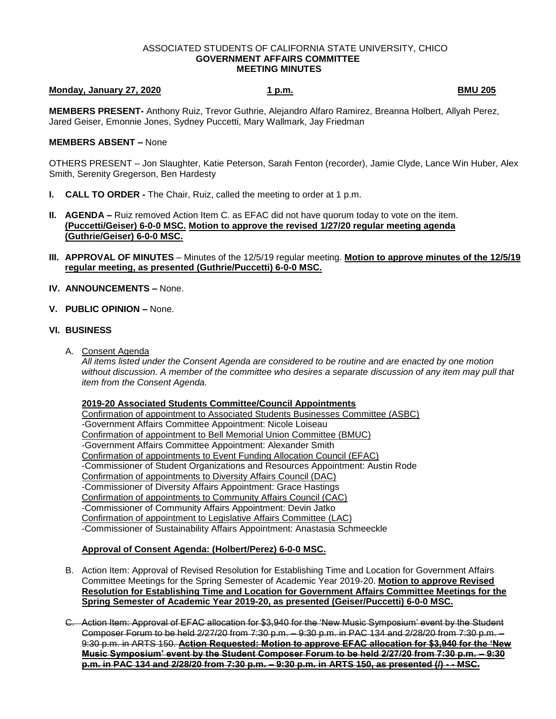#### ASSOCIATED STUDENTS OF CALIFORNIA STATE UNIVERSITY, CHICO **GOVERNMENT AFFAIRS COMMITTEE MEETING MINUTES**

# **Monday, January 27, 2020 1 p.m. BMU 205**

**MEMBERS PRESENT-** Anthony Ruiz, Trevor Guthrie, Alejandro Alfaro Ramirez, Breanna Holbert, Allyah Perez, Jared Geiser, Emonnie Jones, Sydney Puccetti, Mary Wallmark, Jay Friedman

## **MEMBERS ABSENT –** None

OTHERS PRESENT – Jon Slaughter, Katie Peterson, Sarah Fenton (recorder), Jamie Clyde, Lance Win Huber, Alex Smith, Serenity Gregerson, Ben Hardesty

- **I. CALL TO ORDER -** The Chair, Ruiz, called the meeting to order at 1 p.m.
- **II. AGENDA –** Ruiz removed Action Item C. as EFAC did not have quorum today to vote on the item. **(Puccetti/Geiser) 6-0-0 MSC. Motion to approve the revised 1/27/20 regular meeting agenda (Guthrie/Geiser) 6-0-0 MSC.**
- **III. APPROVAL OF MINUTES** Minutes of the 12/5/19 regular meeting. **Motion to approve minutes of the 12/5/19 regular meeting, as presented (Guthrie/Puccetti) 6-0-0 MSC.**
- **IV. ANNOUNCEMENTS –** None.
- **V. PUBLIC OPINION –** None.

### **VI. BUSINESS**

A. Consent Agenda

*All items listed under the Consent Agenda are considered to be routine and are enacted by one motion without discussion. A member of the committee who desires a separate discussion of any item may pull that item from the Consent Agenda.* 

#### **2019-20 Associated Students Committee/Council Appointments**

Confirmation of appointment to Associated Students Businesses Committee (ASBC) -Government Affairs Committee Appointment: Nicole Loiseau Confirmation of appointment to Bell Memorial Union Committee (BMUC) -Government Affairs Committee Appointment: Alexander Smith Confirmation of appointments to Event Funding Allocation Council (EFAC) -Commissioner of Student Organizations and Resources Appointment: Austin Rode Confirmation of appointments to Diversity Affairs Council (DAC) -Commissioner of Diversity Affairs Appointment: Grace Hastings Confirmation of appointments to Community Affairs Council (CAC) -Commissioner of Community Affairs Appointment: Devin Jatko Confirmation of appointment to Legislative Affairs Committee (LAC) -Commissioner of Sustainability Affairs Appointment: Anastasia Schmeeckle

## **Approval of Consent Agenda: (Holbert/Perez) 6-0-0 MSC.**

- B. Action Item: Approval of Revised Resolution for Establishing Time and Location for Government Affairs Committee Meetings for the Spring Semester of Academic Year 2019-20. **Motion to approve Revised Resolution for Establishing Time and Location for Government Affairs Committee Meetings for the Spring Semester of Academic Year 2019-20, as presented (Geiser/Puccetti) 6-0-0 MSC.**
- C. Action Item: Approval of EFAC allocation for \$3,940 for the 'New Music Symposium' event by the Student Composer Forum to be held 2/27/20 from 7:30 p.m. – 9:30 p.m. in PAC 134 and 2/28/20 from 7:30 p.m. – 9:30 p.m. in ARTS 150. **Action Requested: Motion to approve EFAC allocation for \$3,940 for the 'New Music Symposium' event by the Student Composer Forum to be held 2/27/20 from 7:30 p.m. – 9:30 p.m. in PAC 134 and 2/28/20 from 7:30 p.m. – 9:30 p.m. in ARTS 150, as presented (/) - - MSC.**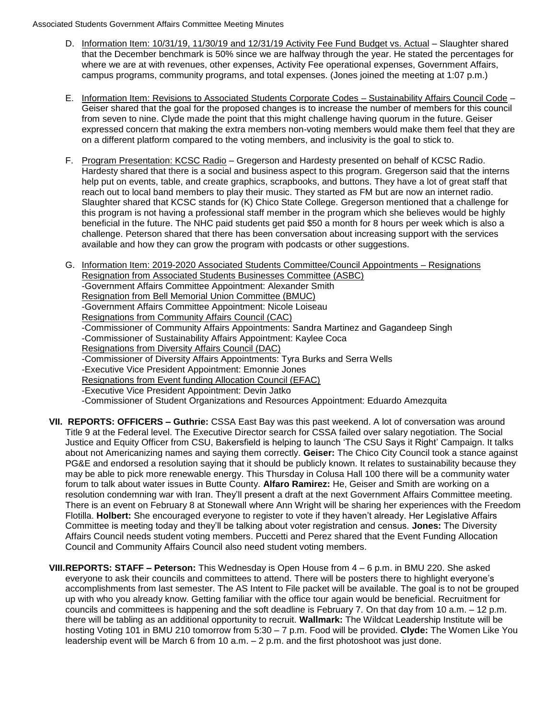- D. Information Item: 10/31/19, 11/30/19 and 12/31/19 Activity Fee Fund Budget vs. Actual Slaughter shared that the December benchmark is 50% since we are halfway through the year. He stated the percentages for where we are at with revenues, other expenses, Activity Fee operational expenses, Government Affairs, campus programs, community programs, and total expenses. (Jones joined the meeting at 1:07 p.m.)
- E. Information Item: Revisions to Associated Students Corporate Codes Sustainability Affairs Council Code Geiser shared that the goal for the proposed changes is to increase the number of members for this council from seven to nine. Clyde made the point that this might challenge having quorum in the future. Geiser expressed concern that making the extra members non-voting members would make them feel that they are on a different platform compared to the voting members, and inclusivity is the goal to stick to.
- F. Program Presentation: KCSC Radio Gregerson and Hardesty presented on behalf of KCSC Radio. Hardesty shared that there is a social and business aspect to this program. Gregerson said that the interns help put on events, table, and create graphics, scrapbooks, and buttons. They have a lot of great staff that reach out to local band members to play their music. They started as FM but are now an internet radio. Slaughter shared that KCSC stands for (K) Chico State College. Gregerson mentioned that a challenge for this program is not having a professional staff member in the program which she believes would be highly beneficial in the future. The NHC paid students get paid \$50 a month for 8 hours per week which is also a challenge. Peterson shared that there has been conversation about increasing support with the services available and how they can grow the program with podcasts or other suggestions.
- G. Information Item: 2019-2020 Associated Students Committee/Council Appointments Resignations Resignation from Associated Students Businesses Committee (ASBC) -Government Affairs Committee Appointment: Alexander Smith Resignation from Bell Memorial Union Committee (BMUC) -Government Affairs Committee Appointment: Nicole Loiseau Resignations from Community Affairs Council (CAC) -Commissioner of Community Affairs Appointments: Sandra Martinez and Gagandeep Singh -Commissioner of Sustainability Affairs Appointment: Kaylee Coca Resignations from Diversity Affairs Council (DAC) -Commissioner of Diversity Affairs Appointments: Tyra Burks and Serra Wells -Executive Vice President Appointment: Emonnie Jones Resignations from Event funding Allocation Council (EFAC) -Executive Vice President Appointment: Devin Jatko -Commissioner of Student Organizations and Resources Appointment: Eduardo Amezquita
- **VII. REPORTS: OFFICERS – Guthrie:** CSSA East Bay was this past weekend. A lot of conversation was around Title 9 at the Federal level. The Executive Director search for CSSA failed over salary negotiation. The Social Justice and Equity Officer from CSU, Bakersfield is helping to launch 'The CSU Says it Right' Campaign. It talks about not Americanizing names and saying them correctly. **Geiser:** The Chico City Council took a stance against PG&E and endorsed a resolution saying that it should be publicly known. It relates to sustainability because they may be able to pick more renewable energy. This Thursday in Colusa Hall 100 there will be a community water forum to talk about water issues in Butte County. **Alfaro Ramirez:** He, Geiser and Smith are working on a resolution condemning war with Iran. They'll present a draft at the next Government Affairs Committee meeting. There is an event on February 8 at Stonewall where Ann Wright will be sharing her experiences with the Freedom Flotilla. **Holbert:** She encouraged everyone to register to vote if they haven't already. Her Legislative Affairs Committee is meeting today and they'll be talking about voter registration and census. **Jones:** The Diversity Affairs Council needs student voting members. Puccetti and Perez shared that the Event Funding Allocation Council and Community Affairs Council also need student voting members.
- **VIII.REPORTS: STAFF – Peterson:** This Wednesday is Open House from 4 6 p.m. in BMU 220. She asked everyone to ask their councils and committees to attend. There will be posters there to highlight everyone's accomplishments from last semester. The AS Intent to File packet will be available. The goal is to not be grouped up with who you already know. Getting familiar with the office tour again would be beneficial. Recruitment for councils and committees is happening and the soft deadline is February 7. On that day from 10 a.m. – 12 p.m. there will be tabling as an additional opportunity to recruit. **Wallmark:** The Wildcat Leadership Institute will be hosting Voting 101 in BMU 210 tomorrow from 5:30 – 7 p.m. Food will be provided. **Clyde:** The Women Like You leadership event will be March 6 from 10 a.m. – 2 p.m. and the first photoshoot was just done.